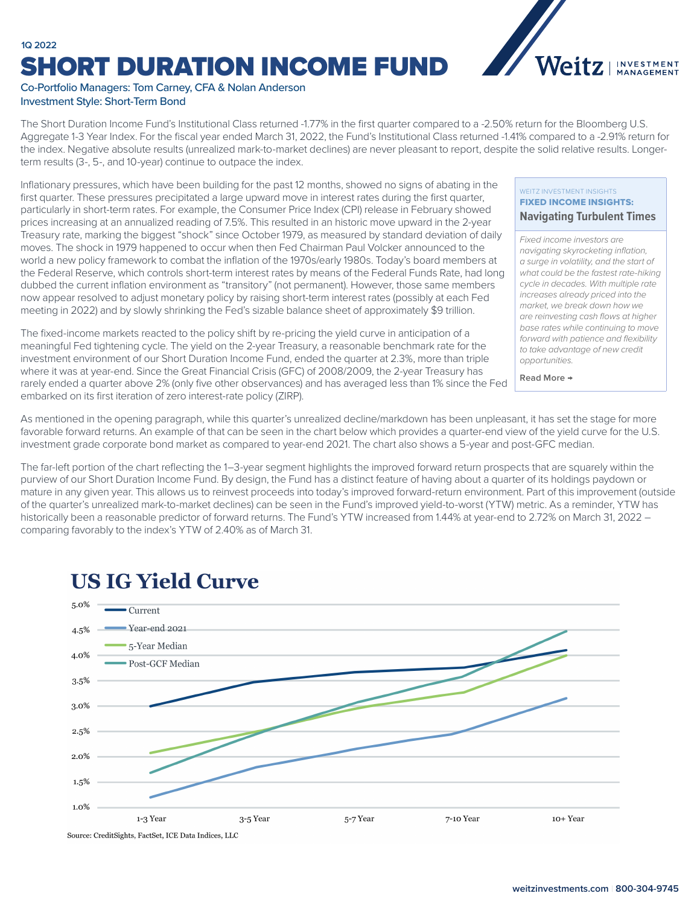### **1Q 2022** SHORT DURATION INCOME FUND



#### Co-Portfolio Managers: Tom Carney, CFA & Nolan Anderson Investment Style: Short-Term Bond

The Short Duration Income Fund's Institutional Class returned -1.77% in the first quarter compared to a -2.50% return for the Bloomberg U.S. Aggregate 1-3 Year Index. For the fiscal year ended March 31, 2022, the Fund's Institutional Class returned -1.41% compared to a -2.91% return for the index. Negative absolute results (unrealized mark-to-market declines) are never pleasant to report, despite the solid relative results. Longerterm results (3-, 5-, and 10-year) continue to outpace the index.

Inflationary pressures, which have been building for the past 12 months, showed no signs of abating in the first quarter. These pressures precipitated a large upward move in interest rates during the first quarter, particularly in short-term rates. For example, the Consumer Price Index (CPI) release in February showed prices increasing at an annualized reading of 7.5%. This resulted in an historic move upward in the 2-year Treasury rate, marking the biggest "shock" since October 1979, as measured by standard deviation of daily moves. The shock in 1979 happened to occur when then Fed Chairman Paul Volcker announced to the world a new policy framework to combat the inflation of the 1970s/early 1980s. Today's board members at the Federal Reserve, which controls short-term interest rates by means of the Federal Funds Rate, had long dubbed the current inflation environment as "transitory" (not permanent). However, those same members now appear resolved to adjust monetary policy by raising short-term interest rates (possibly at each Fed meeting in 2022) and by slowly shrinking the Fed's sizable balance sheet of approximately \$9 trillion.

The fixed-income markets reacted to the policy shift by re-pricing the yield curve in anticipation of a meaningful Fed tightening cycle. The yield on the 2-year Treasury, a reasonable benchmark rate for the investment environment of our Short Duration Income Fund, ended the quarter at 2.3%, more than triple where it was at year-end. Since the Great Financial Crisis (GFC) of 2008/2009, the 2-year Treasury has rarely ended a quarter above 2% (only five other observances) and has averaged less than 1% since the Fed embarked on its first iteration of zero interest-rate policy (ZIRP).

#### WEITZ INVESTMENT INSIGHTS FIXED INCOME INSIGHTS: **[Navigating Turbulent Times](https://weitzinvestments.com/perspectives/investment-insights/a-163/navigating-turbulent-times.fs)**

*Fixed income investors are navigating skyrocketing inflation, a surge in volatility, and the start of what could be the fastest rate-hiking cycle in decades. With multiple rate increases already priced into the market, we break down how we are reinvesting cash flows at higher base rates while continuing to move forward with patience and flexibility to take advantage of new credit opportunities.*

**Read More →**

As mentioned in the opening paragraph, while this quarter's unrealized decline/markdown has been unpleasant, it has set the stage for more favorable forward returns. An example of that can be seen in the chart below which provides a quarter-end view of the yield curve for the U.S. investment grade corporate bond market as compared to year-end 2021. The chart also shows a 5-year and post-GFC median.

The far-left portion of the chart reflecting the 1–3-year segment highlights the improved forward return prospects that are squarely within the purview of our Short Duration Income Fund. By design, the Fund has a distinct feature of having about a quarter of its holdings paydown or mature in any given year. This allows us to reinvest proceeds into today's improved forward-return environment. Part of this improvement (outside of the quarter's unrealized mark-to-market declines) can be seen in the Fund's improved yield-to-worst (YTW) metric. As a reminder, YTW has historically been a reasonable predictor of forward returns. The Fund's YTW increased from 1.44% at year-end to 2.72% on March 31, 2022 comparing favorably to the index's YTW of 2.40% as of March 31.



## **US IG Yield Curve**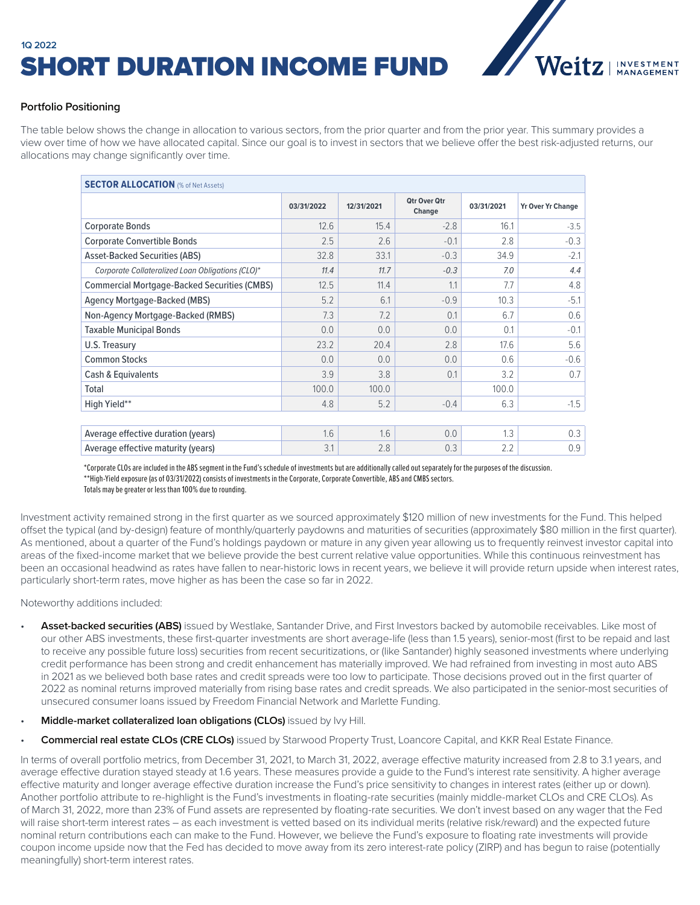# **1Q 2022** SHORT DURATION INCOME FUND



### **Portfolio Positioning**

The table below shows the change in allocation to various sectors, from the prior quarter and from the prior year. This summary provides a view over time of how we have allocated capital. Since our goal is to invest in sectors that we believe offer the best risk-adjusted returns, our allocations may change significantly over time.

| <b>SECTOR ALLOCATION (% of Net Assets)</b>          |            |            |                               |            |                          |  |  |  |  |  |  |
|-----------------------------------------------------|------------|------------|-------------------------------|------------|--------------------------|--|--|--|--|--|--|
|                                                     | 03/31/2022 | 12/31/2021 | <b>Otr Over Otr</b><br>Change | 03/31/2021 | <b>Yr Over Yr Change</b> |  |  |  |  |  |  |
| <b>Corporate Bonds</b>                              | 12.6       | 15.4       | $-2.8$                        | 16.1       | $-3.5$                   |  |  |  |  |  |  |
| <b>Corporate Convertible Bonds</b>                  | 2.5        | 2.6        | $-0.1$                        | 2.8        | $-0.3$                   |  |  |  |  |  |  |
| <b>Asset-Backed Securities (ABS)</b>                | 32.8       | 33.1       | $-0.3$                        | 34.9       | $-2.1$                   |  |  |  |  |  |  |
| Corporate Collateralized Loan Obligations (CLO)*    | 11.4       | 11.7       | $-0.3$                        | 7.0        | 4.4                      |  |  |  |  |  |  |
| <b>Commercial Mortgage-Backed Securities (CMBS)</b> | 12.5       | 11.4       | 1.1                           | 7.7        | 4.8                      |  |  |  |  |  |  |
| Agency Mortgage-Backed (MBS)                        | 5.2        | 6.1        | $-0.9$                        | 10.3       | $-5.1$                   |  |  |  |  |  |  |
| Non-Agency Mortgage-Backed (RMBS)                   | 7.3        | 7.2        | 0.1                           | 6.7        | 0.6                      |  |  |  |  |  |  |
| <b>Taxable Municipal Bonds</b>                      | 0.0        | 0.0        | 0.0                           | 0.1        | $-0.1$                   |  |  |  |  |  |  |
| U.S. Treasury                                       | 23.2       | 20.4       | 2.8                           | 17.6       | 5.6                      |  |  |  |  |  |  |
| <b>Common Stocks</b>                                | 0.0        | 0.0        | 0.0                           | 0.6        | $-0.6$                   |  |  |  |  |  |  |
| Cash & Equivalents                                  | 3.9        | 3.8        | 0.1                           | 3.2        | 0.7                      |  |  |  |  |  |  |
| Total                                               | 100.0      | 100.0      |                               | 100.0      |                          |  |  |  |  |  |  |
| High Yield**                                        | 4.8        | 5.2        | $-0.4$                        | 6.3        | $-1.5$                   |  |  |  |  |  |  |
|                                                     |            |            |                               |            |                          |  |  |  |  |  |  |
| Average effective duration (years)                  | 1.6        | 1.6        | 0.0                           | 1.3        | 0.3                      |  |  |  |  |  |  |
| Average effective maturity (years)                  | 3.1        | 2.8        | 0.3                           | 2.2        | 0.9                      |  |  |  |  |  |  |

\*Corporate CLOs are included in the ABS segment in the Fund's schedule of investments but are additionally called out separately for the purposes of the discussion. \*\*High-Yield exposure (as of 03/31/2022) consists of investments in the Corporate, Corporate Convertible, ABS and CMBS sectors. Totals may be greater or less than 100% due to rounding.

Investment activity remained strong in the first quarter as we sourced approximately \$120 million of new investments for the Fund. This helped offset the typical (and by-design) feature of monthly/quarterly paydowns and maturities of securities (approximately \$80 million in the first quarter). As mentioned, about a quarter of the Fund's holdings paydown or mature in any given year allowing us to frequently reinvest investor capital into areas of the fixed-income market that we believe provide the best current relative value opportunities. While this continuous reinvestment has been an occasional headwind as rates have fallen to near-historic lows in recent years, we believe it will provide return upside when interest rates, particularly short-term rates, move higher as has been the case so far in 2022.

Noteworthy additions included:

- **Asset-backed securities (ABS)** issued by Westlake, Santander Drive, and First Investors backed by automobile receivables. Like most of our other ABS investments, these first-quarter investments are short average-life (less than 1.5 years), senior-most (first to be repaid and last to receive any possible future loss) securities from recent securitizations, or (like Santander) highly seasoned investments where underlying credit performance has been strong and credit enhancement has materially improved. We had refrained from investing in most auto ABS in 2021 as we believed both base rates and credit spreads were too low to participate. Those decisions proved out in the first quarter of 2022 as nominal returns improved materially from rising base rates and credit spreads. We also participated in the senior-most securities of unsecured consumer loans issued by Freedom Financial Network and Marlette Funding.
- **Middle-market collateralized loan obligations (CLOs)** issued by Ivy Hill.
- **Commercial real estate CLOs (CRE CLOs)** issued by Starwood Property Trust, Loancore Capital, and KKR Real Estate Finance.

In terms of overall portfolio metrics, from December 31, 2021, to March 31, 2022, average effective maturity increased from 2.8 to 3.1 years, and average effective duration stayed steady at 1.6 years. These measures provide a guide to the Fund's interest rate sensitivity. A higher average effective maturity and longer average effective duration increase the Fund's price sensitivity to changes in interest rates (either up or down). Another portfolio attribute to re-highlight is the Fund's investments in floating-rate securities (mainly middle-market CLOs and CRE CLOs). As of March 31, 2022, more than 23% of Fund assets are represented by floating-rate securities. We don't invest based on any wager that the Fed will raise short-term interest rates – as each investment is vetted based on its individual merits (relative risk/reward) and the expected future nominal return contributions each can make to the Fund. However, we believe the Fund's exposure to floating rate investments will provide coupon income upside now that the Fed has decided to move away from its zero interest-rate policy (ZIRP) and has begun to raise (potentially meaningfully) short-term interest rates.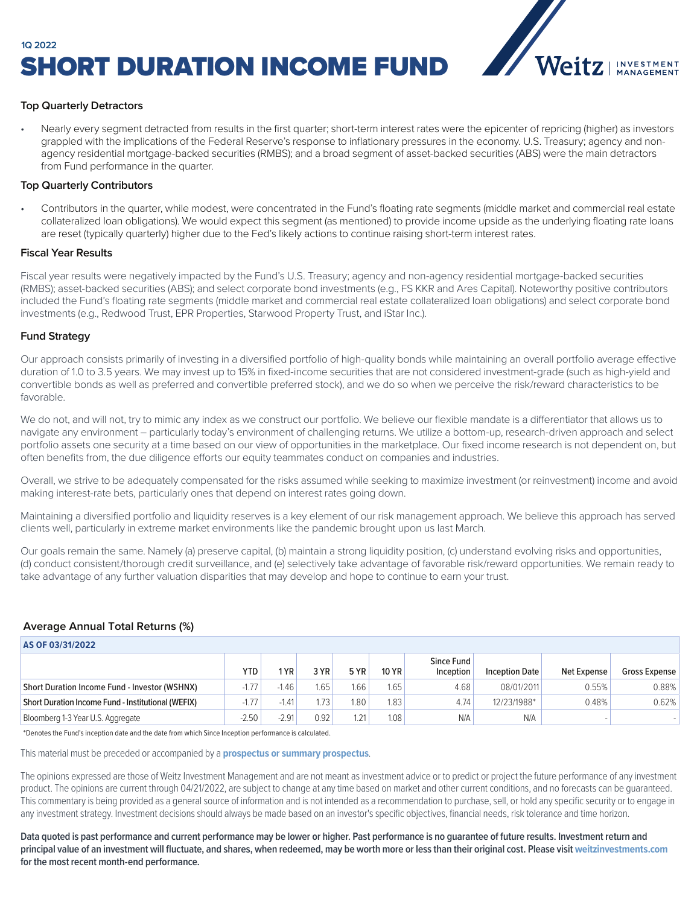

#### **Top Quarterly Detractors**

• Nearly every segment detracted from results in the first quarter; short-term interest rates were the epicenter of repricing (higher) as investors grappled with the implications of the Federal Reserve's response to inflationary pressures in the economy. U.S. Treasury; agency and nonagency residential mortgage-backed securities (RMBS); and a broad segment of asset-backed securities (ABS) were the main detractors from Fund performance in the quarter.

#### **Top Quarterly Contributors**

• Contributors in the quarter, while modest, were concentrated in the Fund's floating rate segments (middle market and commercial real estate collateralized loan obligations). We would expect this segment (as mentioned) to provide income upside as the underlying floating rate loans are reset (typically quarterly) higher due to the Fed's likely actions to continue raising short-term interest rates.

#### **Fiscal Year Results**

Fiscal year results were negatively impacted by the Fund's U.S. Treasury; agency and non-agency residential mortgage-backed securities (RMBS); asset-backed securities (ABS); and select corporate bond investments (e.g., FS KKR and Ares Capital). Noteworthy positive contributors included the Fund's floating rate segments (middle market and commercial real estate collateralized loan obligations) and select corporate bond investments (e.g., Redwood Trust, EPR Properties, Starwood Property Trust, and iStar Inc.).

#### **Fund Strategy**

Our approach consists primarily of investing in a diversified portfolio of high-quality bonds while maintaining an overall portfolio average effective duration of 1.0 to 3.5 years. We may invest up to 15% in fixed-income securities that are not considered investment-grade (such as high-yield and convertible bonds as well as preferred and convertible preferred stock), and we do so when we perceive the risk/reward characteristics to be favorable.

We do not, and will not, try to mimic any index as we construct our portfolio. We believe our flexible mandate is a differentiator that allows us to navigate any environment – particularly today's environment of challenging returns. We utilize a bottom-up, research-driven approach and select portfolio assets one security at a time based on our view of opportunities in the marketplace. Our fixed income research is not dependent on, but often benefits from, the due diligence efforts our equity teammates conduct on companies and industries.

Overall, we strive to be adequately compensated for the risks assumed while seeking to maximize investment (or reinvestment) income and avoid making interest-rate bets, particularly ones that depend on interest rates going down.

Maintaining a diversified portfolio and liquidity reserves is a key element of our risk management approach. We believe this approach has served clients well, particularly in extreme market environments like the pandemic brought upon us last March.

Our goals remain the same. Namely (a) preserve capital, (b) maintain a strong liquidity position, (c) understand evolving risks and opportunities, (d) conduct consistent/thorough credit surveillance, and (e) selectively take advantage of favorable risk/reward opportunities. We remain ready to take advantage of any further valuation disparities that may develop and hope to continue to earn your trust.

#### **Average Annual Total Returns (%)**

| AS OF 03/31/2022                                   |         |         |      |      |              |                         |                       |             |               |  |  |  |
|----------------------------------------------------|---------|---------|------|------|--------------|-------------------------|-----------------------|-------------|---------------|--|--|--|
|                                                    | YTD.    | $1YR_1$ | 3 YR | 5 YR | <b>10 YR</b> | Since Fund<br>Inception | <b>Inception Date</b> | Net Expense | Gross Expense |  |  |  |
| Short Duration Income Fund - Investor (WSHNX)      | $-1.77$ | $-1.46$ | 1.65 | 1.66 | 1.65         | 4.68                    | 08/01/2011            | 0.55%       | 0.88%         |  |  |  |
| Short Duration Income Fund - Institutional (WEFIX) | $-1.77$ | $-1.41$ | 1.73 | 1.80 | 1.83         | 4.74                    | 12/23/1988*           | 0.48%       | 0.62%         |  |  |  |
| Bloomberg 1-3 Year U.S. Aggregate                  | $-2.50$ | $-2.91$ | 0.92 | 1.21 | 1.08         | N/A                     | N/A                   |             |               |  |  |  |

\*Denotes the Fund's inception date and the date from which Since Inception performance is calculated.

This material must be preceded or accompanied by a **[prospectus or summary prospectus](https://weitzinvestments.com/resources/product-literature/default.fs)**.

The opinions expressed are those of Weitz Investment Management and are not meant as investment advice or to predict or project the future performance of any investment product. The opinions are current through 04/21/2022, are subject to change at any time based on market and other current conditions, and no forecasts can be guaranteed. This commentary is being provided as a general source of information and is not intended as a recommendation to purchase, sell, or hold any specific security or to engage in any investment strategy. Investment decisions should always be made based on an investor's specific objectives, financial needs, risk tolerance and time horizon.

**Data quoted is past performance and current performance may be lower or higher. Past performance is no guarantee of future results. Investment return and**  principal value of an investment will fluctuate, and shares, when redeemed, may be worth more or less than their original cost. Please visit [weitzinvestments.com](https://weitzinvestments.com/funds/performance.fs) **for the most recent month-end performance.**